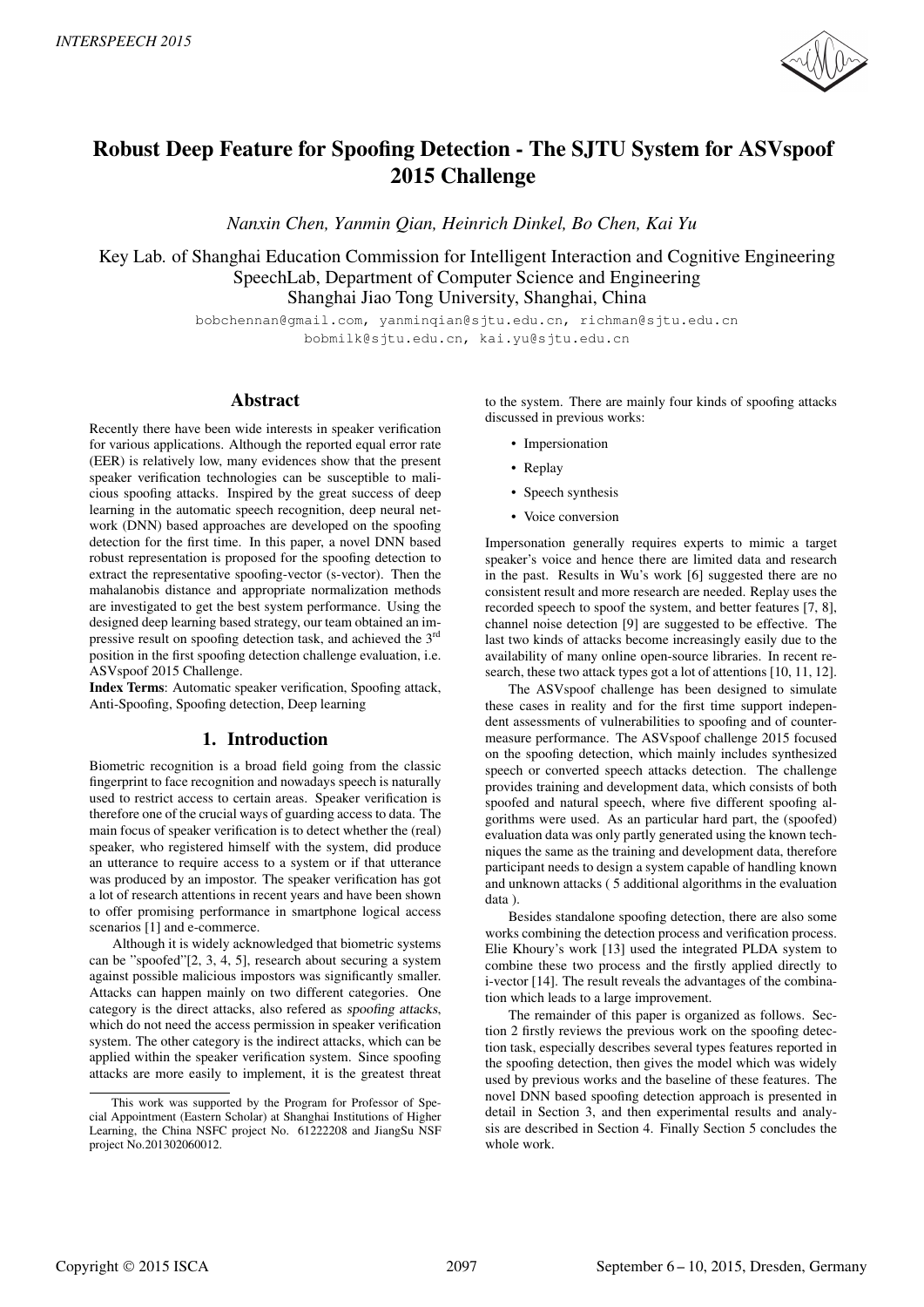

# Robust Deep Feature for Spoofing Detection - The SJTU System for ASVspoof 2015 Challenge

*Nanxin Chen, Yanmin Qian, Heinrich Dinkel, Bo Chen, Kai Yu* 

Key Lab. of Shanghai Education Commission for Intelligent Interaction and Cognitive Engineering SpeechLab, Department of Computer Science and Engineering Shanghai Jiao Tong University, Shanghai, China

> bobchennan@gmail.com, yanminqian@sjtu.edu.cn, richman@sjtu.edu.cn bobmilk@sjtu.edu.cn, kai.yu@sjtu.edu.cn

# Abstract

Recently there have been wide interests in speaker verification for various applications. Although the reported equal error rate (EER) is relatively low, many evidences show that the present speaker verification technologies can be susceptible to malicious spoofing attacks. Inspired by the great success of deep learning in the automatic speech recognition, deep neural network (DNN) based approaches are developed on the spoofing detection for the first time. In this paper, a novel DNN based robust representation is proposed for the spoofing detection to extract the representative spoofing-vector (s-vector). Then the mahalanobis distance and appropriate normalization methods are investigated to get the best system performance. Using the designed deep learning based strategy, our team obtained an impressive result on spoofing detection task, and achieved the 3rd position in the first spoofing detection challenge evaluation, i.e. ASVspoof 2015 Challenge.

Index Terms: Automatic speaker verification, Spoofing attack, Anti-Spoofing, Spoofing detection, Deep learning

# 1. Introduction

Biometric recognition is a broad field going from the classic fingerprint to face recognition and nowadays speech is naturally used to restrict access to certain areas. Speaker verification is therefore one of the crucial ways of guarding access to data. The main focus of speaker verification is to detect whether the (real) speaker, who registered himself with the system, did produce an utterance to require access to a system or if that utterance was produced by an impostor. The speaker verification has got a lot of research attentions in recent years and have been shown to offer promising performance in smartphone logical access scenarios [1] and e-commerce.

Although it is widely acknowledged that biometric systems can be "spoofed"[2, 3, 4, 5], research about securing a system against possible malicious impostors was significantly smaller. Attacks can happen mainly on two different categories. One category is the direct attacks, also refered as spoofing attacks, which do not need the access permission in speaker verification system. The other category is the indirect attacks, which can be applied within the speaker verification system. Since spoofing attacks are more easily to implement, it is the greatest threat to the system. There are mainly four kinds of spoofing attacks discussed in previous works:

- Impersionation
- Replay
- Speech synthesis
- Voice conversion

Impersonation generally requires experts to mimic a target speaker's voice and hence there are limited data and research in the past. Results in Wu's work [6] suggested there are no consistent result and more research are needed. Replay uses the recorded speech to spoof the system, and better features [7, 8], channel noise detection [9] are suggested to be effective. The last two kinds of attacks become increasingly easily due to the availability of many online open-source libraries. In recent research, these two attack types got a lot of attentions [10, 11, 12].

The ASVspoof challenge has been designed to simulate these cases in reality and for the first time support independent assessments of vulnerabilities to spoofing and of countermeasure performance. The ASVspoof challenge 2015 focused on the spoofing detection, which mainly includes synthesized speech or converted speech attacks detection. The challenge provides training and development data, which consists of both spoofed and natural speech, where five different spoofing algorithms were used. As an particular hard part, the (spoofed) evaluation data was only partly generated using the known techniques the same as the training and development data, therefore participant needs to design a system capable of handling known and unknown attacks ( 5 additional algorithms in the evaluation data ).

Besides standalone spoofing detection, there are also some works combining the detection process and verification process. Elie Khoury's work [13] used the integrated PLDA system to combine these two process and the firstly applied directly to i-vector [14]. The result reveals the advantages of the combination which leads to a large improvement.

The remainder of this paper is organized as follows. Section 2 firstly reviews the previous work on the spoofing detection task, especially describes several types features reported in the spoofing detection, then gives the model which was widely used by previous works and the baseline of these features. The novel DNN based spoofing detection approach is presented in detail in Section 3, and then experimental results and analysis are described in Section 4. Finally Section 5 concludes the whole work.

This work was supported by the Program for Professor of Special Appointment (Eastern Scholar) at Shanghai Institutions of Higher Learning, the China NSFC project No. 61222208 and JiangSu NSF project No.201302060012.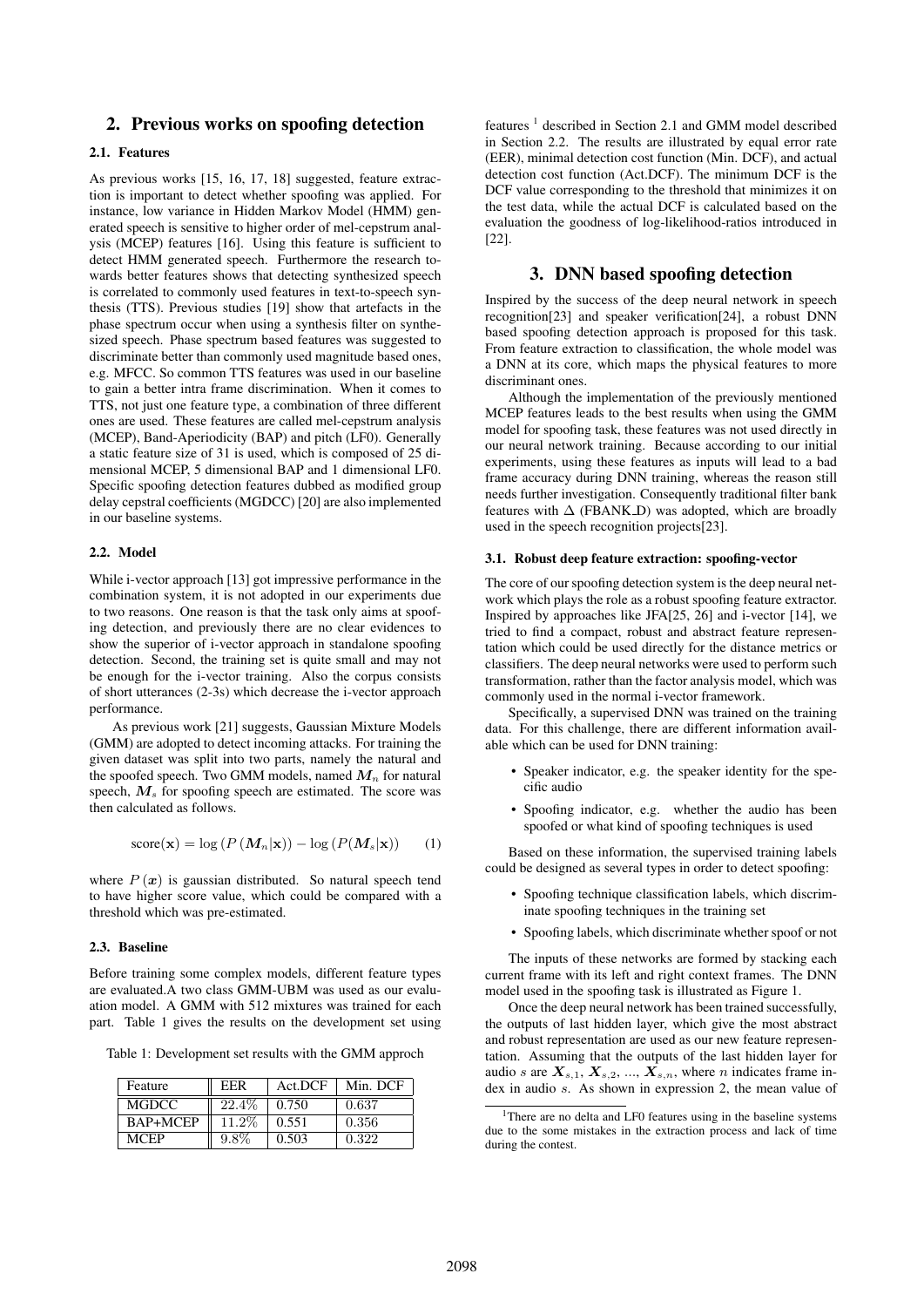# 2. Previous works on spoofing detection

# 2.1. Features

As previous works [15, 16, 17, 18] suggested, feature extraction is important to detect whether spoofing was applied. For instance, low variance in Hidden Markov Model (HMM) generated speech is sensitive to higher order of mel-cepstrum analysis (MCEP) features [16]. Using this feature is sufficient to detect HMM generated speech. Furthermore the research towards better features shows that detecting synthesized speech is correlated to commonly used features in text-to-speech synthesis (TTS). Previous studies [19] show that artefacts in the phase spectrum occur when using a synthesis filter on synthesized speech. Phase spectrum based features was suggested to discriminate better than commonly used magnitude based ones, e.g. MFCC. So common TTS features was used in our baseline to gain a better intra frame discrimination. When it comes to TTS, not just one feature type, a combination of three different ones are used. These features are called mel-cepstrum analysis (MCEP), Band-Aperiodicity (BAP) and pitch (LF0). Generally a static feature size of 31 is used, which is composed of 25 dimensional MCEP, 5 dimensional BAP and 1 dimensional LF0. Specific spoofing detection features dubbed as modified group delay cepstral coefficients (MGDCC) [20] are also implemented in our baseline systems.

### 2.2. Model

While i-vector approach [13] got impressive performance in the combination system, it is not adopted in our experiments due to two reasons. One reason is that the task only aims at spoofing detection, and previously there are no clear evidences to show the superior of i-vector approach in standalone spoofing detection. Second, the training set is quite small and may not be enough for the i-vector training. Also the corpus consists of short utterances (2-3s) which decrease the i-vector approach performance.

As previous work [21] suggests, Gaussian Mixture Models (GMM) are adopted to detect incoming attacks. For training the given dataset was split into two parts, namely the natural and the spoofed speech. Two GMM models, named  $M_n$  for natural speech, *M<sup>s</sup>* for spoofing speech are estimated. The score was then calculated as follows.

$$
score(\mathbf{x}) = log (P (M_n|\mathbf{x})) - log (P (M_s|\mathbf{x}))
$$
 (1)

where  $P(x)$  is gaussian distributed. So natural speech tend to have higher score value, which could be compared with a threshold which was pre-estimated.

### 2.3. Baseline

Before training some complex models, different feature types are evaluated.A two class GMM-UBM was used as our evaluation model. A GMM with 512 mixtures was trained for each part. Table 1 gives the results on the development set using

Table 1: Development set results with the GMM approch

| Feature     | EER      | Act.DCF | Min. DCF |
|-------------|----------|---------|----------|
| MGDCC       | $22.4\%$ | 0.750   | 0.637    |
| BAP+MCEP    | 11.2%    | 0.551   | 0.356    |
| <b>MCEP</b> | $9.8\%$  | 0.503   | 0.322    |

features<sup>1</sup> described in Section 2.1 and GMM model described in Section 2.2. The results are illustrated by equal error rate (EER), minimal detection cost function (Min. DCF), and actual detection cost function (Act.DCF). The minimum DCF is the DCF value corresponding to the threshold that minimizes it on the test data, while the actual DCF is calculated based on the evaluation the goodness of log-likelihood-ratios introduced in [22].

# 3. DNN based spoofing detection

Inspired by the success of the deep neural network in speech recognition[23] and speaker verification[24], a robust DNN based spoofing detection approach is proposed for this task. From feature extraction to classification, the whole model was a DNN at its core, which maps the physical features to more discriminant ones.

Although the implementation of the previously mentioned MCEP features leads to the best results when using the GMM model for spoofing task, these features was not used directly in our neural network training. Because according to our initial experiments, using these features as inputs will lead to a bad frame accuracy during DNN training, whereas the reason still needs further investigation. Consequently traditional filter bank features with  $\Delta$  (FBANK\_D) was adopted, which are broadly used in the speech recognition projects[23].

### 3.1. Robust deep feature extraction: spoofing-vector

The core of our spoofing detection system is the deep neural network which plays the role as a robust spoofing feature extractor. Inspired by approaches like JFA[25, 26] and i-vector [14], we tried to find a compact, robust and abstract feature representation which could be used directly for the distance metrics or classifiers. The deep neural networks were used to perform such transformation, rather than the factor analysis model, which was commonly used in the normal i-vector framework.

Specifically, a supervised DNN was trained on the training data. For this challenge, there are different information available which can be used for DNN training:

- Speaker indicator, e.g. the speaker identity for the specific audio
- Spoofing indicator, e.g. whether the audio has been spoofed or what kind of spoofing techniques is used

Based on these information, the supervised training labels could be designed as several types in order to detect spoofing:

- Spoofing technique classification labels, which discriminate spoofing techniques in the training set
- Spoofing labels, which discriminate whether spoof or not

The inputs of these networks are formed by stacking each current frame with its left and right context frames. The DNN model used in the spoofing task is illustrated as Figure 1.

Once the deep neural network has been trained successfully, the outputs of last hidden layer, which give the most abstract and robust representation are used as our new feature representation. Assuming that the outputs of the last hidden layer for audio *s* are  $X_{s,1}$ ,  $X_{s,2}$ , ...,  $X_{s,n}$ , where *n* indicates frame index in audio *s*. As shown in expression 2, the mean value of

<sup>&</sup>lt;sup>1</sup>There are no delta and LF0 features using in the baseline systems due to the some mistakes in the extraction process and lack of time during the contest.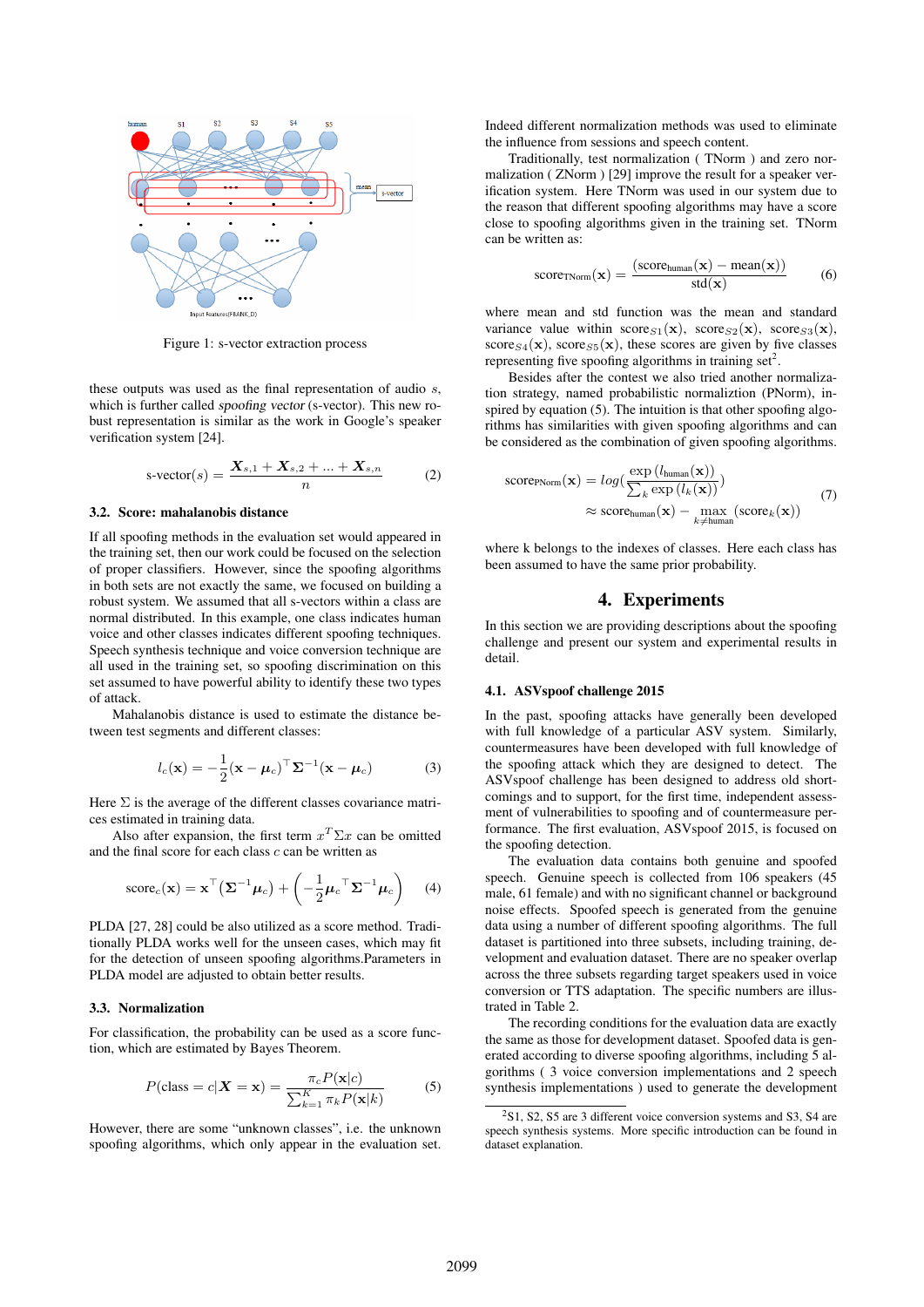

Figure 1: s-vector extraction process

these outputs was used as the final representation of audio *s*, which is further called spoofing vector (s-vector). This new robust representation is similar as the work in Google's speaker verification system [24].

$$
s\text{-vector}(s) = \frac{X_{s,1} + X_{s,2} + \dots + X_{s,n}}{n} \tag{2}
$$

#### 3.2. Score: mahalanobis distance

If all spoofing methods in the evaluation set would appeared in the training set, then our work could be focused on the selection of proper classifiers. However, since the spoofing algorithms in both sets are not exactly the same, we focused on building a robust system. We assumed that all s-vectors within a class are normal distributed. In this example, one class indicates human voice and other classes indicates different spoofing techniques. Speech synthesis technique and voice conversion technique are all used in the training set, so spoofing discrimination on this set assumed to have powerful ability to identify these two types of attack.

Mahalanobis distance is used to estimate the distance between test segments and different classes:

$$
l_c(\mathbf{x}) = -\frac{1}{2}(\mathbf{x} - \boldsymbol{\mu}_c)^{\top} \boldsymbol{\Sigma}^{-1}(\mathbf{x} - \boldsymbol{\mu}_c)
$$
 (3)

Here  $\Sigma$  is the average of the different classes covariance matrices estimated in training data.

Also after expansion, the first term  $x^T \Sigma x$  can be omitted and the final score for each class *c* can be written as

score<sub>c</sub>(
$$
\mathbf{x}
$$
) =  $\mathbf{x}^\top (\mathbf{\Sigma}^{-1} \boldsymbol{\mu}_c) + \left(-\frac{1}{2} \boldsymbol{\mu}_c^\top \mathbf{\Sigma}^{-1} \boldsymbol{\mu}_c\right)$  (4)

PLDA [27, 28] could be also utilized as a score method. Traditionally PLDA works well for the unseen cases, which may fit for the detection of unseen spoofing algorithms.Parameters in PLDA model are adjusted to obtain better results.

### 3.3. Normalization

For classification, the probability can be used as a score function, which are estimated by Bayes Theorem.

$$
P(\text{class} = c | \mathbf{X} = \mathbf{x}) = \frac{\pi_c P(\mathbf{x}|c)}{\sum_{k=1}^{K} \pi_k P(\mathbf{x}|k)} \tag{5}
$$

However, there are some "unknown classes", i.e. the unknown spoofing algorithms, which only appear in the evaluation set. Indeed different normalization methods was used to eliminate the influence from sessions and speech content.

Traditionally, test normalization ( TNorm ) and zero normalization ( ZNorm ) [29] improve the result for a speaker verification system. Here TNorm was used in our system due to the reason that different spoofing algorithms may have a score close to spoofing algorithms given in the training set. TNorm can be written as:

score<sub>TNorm</sub>(**x**) = 
$$
\frac{\text{(scorehuman(x) - mean(x))}{\text{std(x)}} \qquad (6)
$$

where mean and std function was the mean and standard variance value within  $score_{S1}(\mathbf{x})$ ,  $score_{S2}(\mathbf{x})$ ,  $score_{S3}(\mathbf{x})$ , score<sub>S4</sub>(**x**), score<sub>S5</sub>(**x**), these scores are given by five classes representing five spoofing algorithms in training set<sup>2</sup>.

Besides after the contest we also tried another normalization strategy, named probabilistic normaliztion (PNorm), inspired by equation (5). The intuition is that other spoofing algorithms has similarities with given spoofing algorithms and can be considered as the combination of given spoofing algorithms.

score<sub>PNorm</sub>(**x**) = 
$$
log(\frac{exp(l_{\text{human}}(\mathbf{x}))}{\sum_{k} exp(l_{k}(\mathbf{x}))})
$$
  
\n $\approx$  score<sub>human</sub>(**x**) -  $max_{k \neq$  human(score<sub>k</sub>(**x**)) (7)

where k belongs to the indexes of classes. Here each class has been assumed to have the same prior probability.

# 4. Experiments

In this section we are providing descriptions about the spoofing challenge and present our system and experimental results in detail.

### 4.1. ASVspoof challenge 2015

In the past, spoofing attacks have generally been developed with full knowledge of a particular ASV system. Similarly, countermeasures have been developed with full knowledge of the spoofing attack which they are designed to detect. The ASVspoof challenge has been designed to address old shortcomings and to support, for the first time, independent assessment of vulnerabilities to spoofing and of countermeasure performance. The first evaluation, ASVspoof 2015, is focused on the spoofing detection.

The evaluation data contains both genuine and spoofed speech. Genuine speech is collected from 106 speakers (45 male, 61 female) and with no significant channel or background noise effects. Spoofed speech is generated from the genuine data using a number of different spoofing algorithms. The full dataset is partitioned into three subsets, including training, development and evaluation dataset. There are no speaker overlap across the three subsets regarding target speakers used in voice conversion or TTS adaptation. The specific numbers are illustrated in Table 2.

The recording conditions for the evaluation data are exactly the same as those for development dataset. Spoofed data is generated according to diverse spoofing algorithms, including 5 algorithms ( 3 voice conversion implementations and 2 speech synthesis implementations ) used to generate the development

 $2\text{S1}$ , S<sub>2</sub>, S<sub>2</sub> are 3 different voice conversion systems and S<sub>3</sub>, S<sub>4</sub> are speech synthesis systems. More specific introduction can be found in dataset explanation.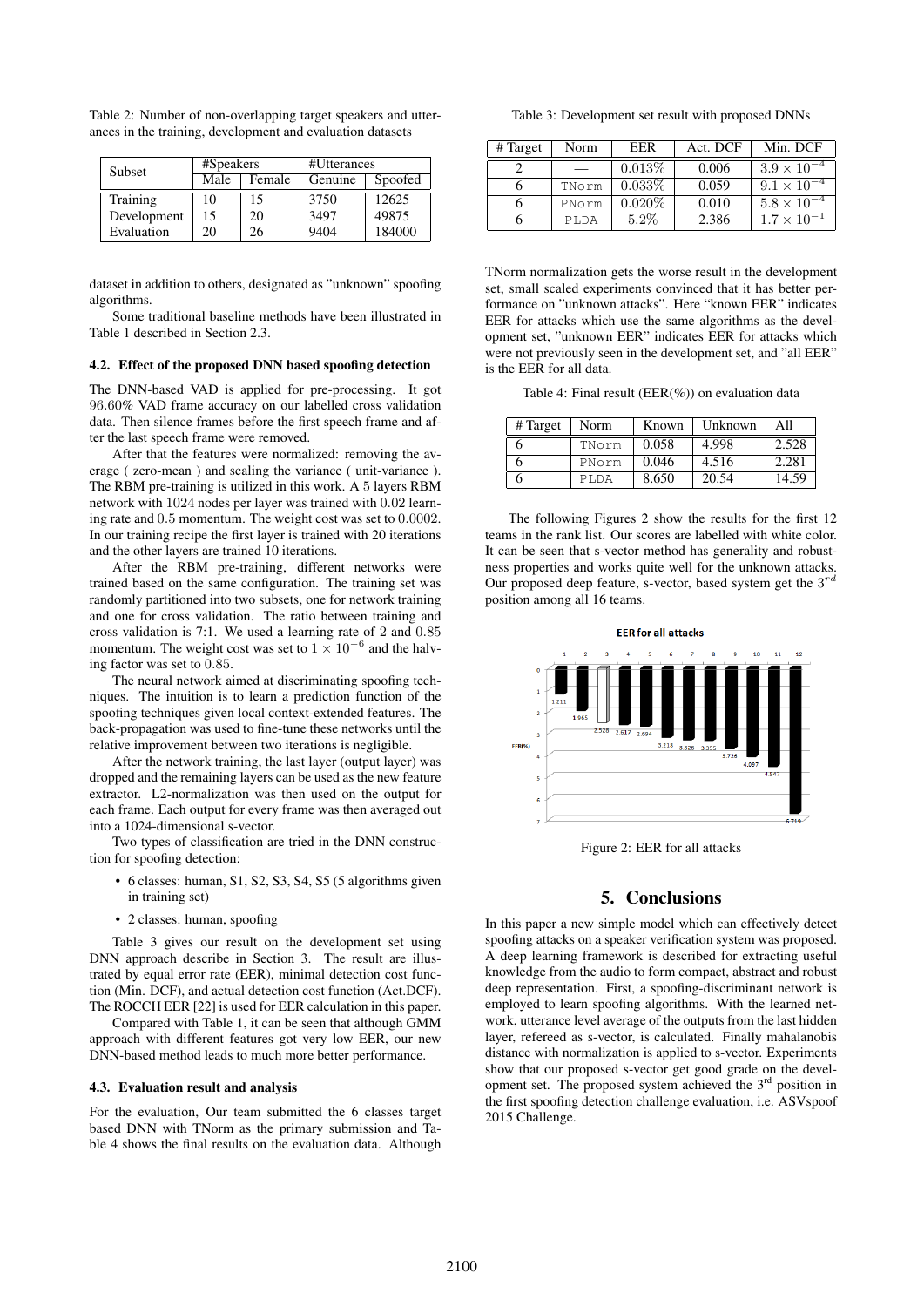| Subset      | #Speakers |        | #Utterances |         |
|-------------|-----------|--------|-------------|---------|
|             | Male      | Female | Genuine     | Spoofed |
| Training    | 10        | 15     | 3750        | 12625   |
| Development | 15        | 20     | 3497        | 49875   |
| Evaluation  | 20        | 26     | 9404        | 184000  |

Table 2: Number of non-overlapping target speakers and utterances in the training, development and evaluation datasets

dataset in addition to others, designated as "unknown" spoofing algorithms.

Some traditional baseline methods have been illustrated in Table 1 described in Section 2.3.

### 4.2. Effect of the proposed DNN based spoofing detection

The DNN-based VAD is applied for pre-processing. It got 96*.*60% VAD frame accuracy on our labelled cross validation data. Then silence frames before the first speech frame and after the last speech frame were removed.

After that the features were normalized: removing the average ( zero-mean ) and scaling the variance ( unit-variance ). The RBM pre-training is utilized in this work. A 5 layers RBM network with 1024 nodes per layer was trained with 0*.*02 learning rate and 0*.*5 momentum. The weight cost was set to 0*.*0002. In our training recipe the first layer is trained with 20 iterations and the other layers are trained 10 iterations.

After the RBM pre-training, different networks were trained based on the same configuration. The training set was randomly partitioned into two subsets, one for network training and one for cross validation. The ratio between training and cross validation is 7:1. We used a learning rate of 2 and 0*.*85 momentum. The weight cost was set to  $1 \times 10^{-6}$  and the halving factor was set to 0*.*85.

The neural network aimed at discriminating spoofing techniques. The intuition is to learn a prediction function of the spoofing techniques given local context-extended features. The back-propagation was used to fine-tune these networks until the relative improvement between two iterations is negligible.

After the network training, the last layer (output layer) was dropped and the remaining layers can be used as the new feature extractor. L2-normalization was then used on the output for each frame. Each output for every frame was then averaged out into a 1024-dimensional s-vector.

Two types of classification are tried in the DNN construction for spoofing detection:

- 6 classes: human, S1, S2, S3, S4, S5 (5 algorithms given in training set)
- 2 classes: human, spoofing

Table 3 gives our result on the development set using DNN approach describe in Section 3. The result are illustrated by equal error rate (EER), minimal detection cost function (Min. DCF), and actual detection cost function (Act.DCF). The ROCCH EER [22] is used for EER calculation in this paper.

Compared with Table 1, it can be seen that although GMM approach with different features got very low EER, our new DNN-based method leads to much more better performance.

#### 4.3. Evaluation result and analysis

For the evaluation, Our team submitted the 6 classes target based DNN with TNorm as the primary submission and Table 4 shows the final results on the evaluation data. Although

Table 3: Development set result with proposed DNNs

| # Target | Norm  | EER       | Act. DCF | Min. DCF             |
|----------|-------|-----------|----------|----------------------|
|          |       | $0.013\%$ | 0.006    | $3.9 \times 10^{-4}$ |
| 6        | TNorm | $0.033\%$ | 0.059    | $9.1 \times 10^{-4}$ |
|          | PNorm | $0.020\%$ | 0.010    | $5.8 \times 10^{-4}$ |
|          | PT.DA | $5.2\%$   | 2.386    | $1.7 \times 10^{-4}$ |

TNorm normalization gets the worse result in the development set, small scaled experiments convinced that it has better performance on "unknown attacks". Here "known EER" indicates EER for attacks which use the same algorithms as the development set, "unknown EER" indicates EER for attacks which were not previously seen in the development set, and "all EER" is the EER for all data.

Table 4: Final result (EER(%)) on evaluation data

| # Target | Norm  | Known | Unknown | All   |
|----------|-------|-------|---------|-------|
|          | TNorm | 0.058 | 4.998   | 2.528 |
|          | PNorm | 0.046 | 4.516   | 2.281 |
|          | PT.DA | 8.650 | 20.54   | 14.59 |

The following Figures 2 show the results for the first 12 teams in the rank list. Our scores are labelled with white color. It can be seen that s-vector method has generality and robustness properties and works quite well for the unknown attacks. Our proposed deep feature, s-vector, based system get the 3 *rd* position among all 16 teams.



Figure 2: EER for all attacks

# 5. Conclusions

In this paper a new simple model which can effectively detect spoofing attacks on a speaker verification system was proposed. A deep learning framework is described for extracting useful knowledge from the audio to form compact, abstract and robust deep representation. First, a spoofing-discriminant network is employed to learn spoofing algorithms. With the learned network, utterance level average of the outputs from the last hidden layer, refereed as s-vector, is calculated. Finally mahalanobis distance with normalization is applied to s-vector. Experiments show that our proposed s-vector get good grade on the development set. The proposed system achieved the 3rd position in the first spoofing detection challenge evaluation, i.e. ASVspoof 2015 Challenge.